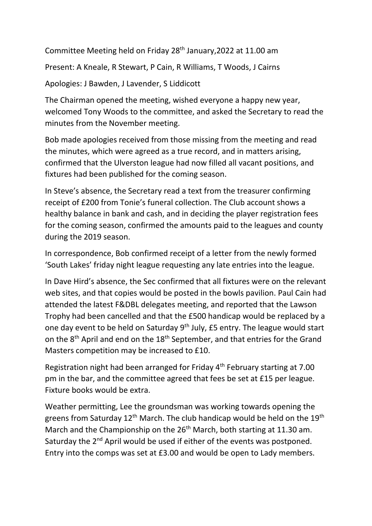Committee Meeting held on Friday 28<sup>th</sup> January, 2022 at 11.00 am

Present: A Kneale, R Stewart, P Cain, R Williams, T Woods, J Cairns

Apologies: J Bawden, J Lavender, S Liddicott

The Chairman opened the meeting, wished everyone a happy new year, welcomed Tony Woods to the committee, and asked the Secretary to read the minutes from the November meeting.

Bob made apologies received from those missing from the meeting and read the minutes, which were agreed as a true record, and in matters arising, confirmed that the Ulverston league had now filled all vacant positions, and fixtures had been published for the coming season.

In Steve's absence, the Secretary read a text from the treasurer confirming receipt of £200 from Tonie's funeral collection. The Club account shows a healthy balance in bank and cash, and in deciding the player registration fees for the coming season, confirmed the amounts paid to the leagues and county during the 2019 season.

In correspondence, Bob confirmed receipt of a letter from the newly formed 'South Lakes' friday night league requesting any late entries into the league.

In Dave Hird's absence, the Sec confirmed that all fixtures were on the relevant web sites, and that copies would be posted in the bowls pavilion. Paul Cain had attended the latest F&DBL delegates meeting, and reported that the Lawson Trophy had been cancelled and that the £500 handicap would be replaced by a one day event to be held on Saturday 9<sup>th</sup> July, £5 entry. The league would start on the 8<sup>th</sup> April and end on the 18<sup>th</sup> September, and that entries for the Grand Masters competition may be increased to £10.

Registration night had been arranged for Friday 4<sup>th</sup> February starting at 7.00 pm in the bar, and the committee agreed that fees be set at £15 per league. Fixture books would be extra.

Weather permitting, Lee the groundsman was working towards opening the greens from Saturday  $12<sup>th</sup>$  March. The club handicap would be held on the  $19<sup>th</sup>$ March and the Championship on the 26<sup>th</sup> March, both starting at 11.30 am. Saturday the 2<sup>nd</sup> April would be used if either of the events was postponed. Entry into the comps was set at £3.00 and would be open to Lady members.